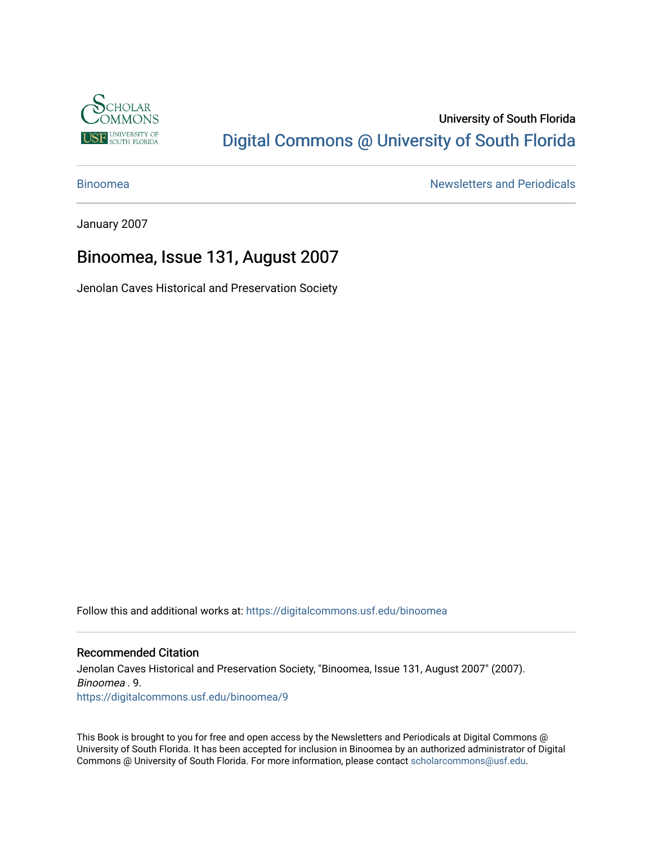

# University of South Florida [Digital Commons @ University of South Florida](https://digitalcommons.usf.edu/)

[Binoomea](https://digitalcommons.usf.edu/binoomea) **Newsletters** and Periodicals

January 2007

# Binoomea, Issue 131, August 2007

Jenolan Caves Historical and Preservation Society

Follow this and additional works at: [https://digitalcommons.usf.edu/binoomea](https://digitalcommons.usf.edu/binoomea?utm_source=digitalcommons.usf.edu%2Fbinoomea%2F9&utm_medium=PDF&utm_campaign=PDFCoverPages) 

#### Recommended Citation

Jenolan Caves Historical and Preservation Society, "Binoomea, Issue 131, August 2007" (2007). Binoomea . 9. [https://digitalcommons.usf.edu/binoomea/9](https://digitalcommons.usf.edu/binoomea/9?utm_source=digitalcommons.usf.edu%2Fbinoomea%2F9&utm_medium=PDF&utm_campaign=PDFCoverPages) 

This Book is brought to you for free and open access by the Newsletters and Periodicals at Digital Commons @ University of South Florida. It has been accepted for inclusion in Binoomea by an authorized administrator of Digital Commons @ University of South Florida. For more information, please contact [scholarcommons@usf.edu](mailto:scholarcommons@usf.edu).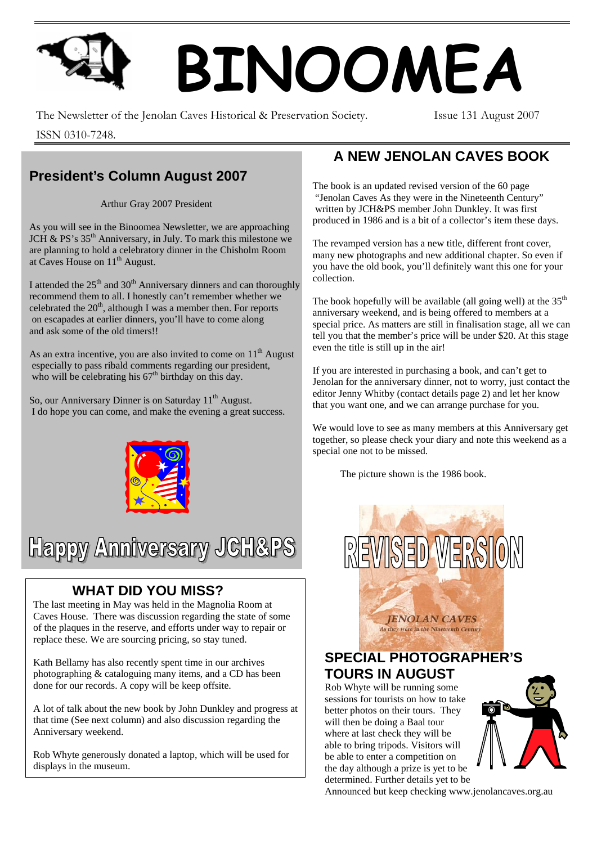The Newsletter of the Jenolan Caves Historical & Preservation Society. Issue 131 August 2007

ISSN 0310-7248.

# **President's Column August 2007** The book is an updated revised version of the 60 page

As you will see in the Binoomea Newsletter, we are approaching<br>JCH & PS's  $35<sup>th</sup>$  Anniversary, in July. To mark this milestone we<br>The revamped version has a new title, different front cover, are planning to hold a celebratory dinner in the Chisholm Room at Caves House on 11<sup>th</sup> August.

I attended the  $25<sup>th</sup>$  and  $30<sup>th</sup>$  Anniversary dinners and can thoroughly recommend them to all. I honestly can't remember whether we celebrated the  $20<sup>th</sup>$ , although I was a member then. For reports on escapades at earlier dinners, you'll have to come along and ask some of the old timers!!

As an extra incentive, you are also invited to come on  $11<sup>th</sup>$  August especially to pass ribald comments regarding our president, who will be celebrating his  $67<sup>th</sup>$  birthday on this day.

 I do hope you can come, and make the evening a great success. So, our Anniversary Dinner is on Saturday 11<sup>th</sup> August.



# 

# **WHAT DID YOU MISS?**

The last meeting in May was held in the Magnolia Room at Caves House. There was discussion regarding the state of some of the plaques in the reserve, and efforts under way to repair or replace these. We are sourcing pricing, so stay tuned.

photographing & cataloguing many items, and a CD has been **TOURS IN AUGUST** Kath Bellamy has also recently spent time in our archives done for our records. A copy will be keep offsite.

A lot of talk about the new book by John Dunkley and progress at that time (See next column) and also discussion regarding the Anniversary weekend.

Rob Whyte generously donated a laptop, which will be used for displays in the museum.

# **A NEW JENOLAN CAVES BOOK**

**BINOOMEA** 

"Jenolan Caves As they were in the Nineteenth Century" Arthur Gray 2007 President written by JCH&PS member John Dunkley. It was first

many new photographs and new additional chapter. So even if you have the old book, you'll definitely want this one for your collection.

The book hopefully will be available (all going well) at the  $35<sup>th</sup>$ anniversary weekend, and is being offered to members at a special price. As matters are still in finalisation stage, all we can tell you that the member's price will be under \$20. At this stage even the title is still up in the air!

If you are interested in purchasing a book, and can't get to Jenolan for the anniversary dinner, not to worry, just contact the editor Jenny Whitby (contact details page 2) and let her know that you want one, and we can arrange purchase for you.

We would love to see as many members at this Anniversary get together, so please check your diary and note this weekend as a special one not to be missed.

The picture shown is the 1986 book.



**JENOLAN CAVES** As they were in the Nineteenth Century

# **SPECIAL PHOTOGRAPHER'S**

Rob Whyte will be running some sessions for tourists on how to take better photos on their tours. They will then be doing a Baal tour where at last check they will be able to bring tripods. Visitors will be able to enter a competition on the day although a prize is yet to be determined. Further details yet to be



Announced but keep checking www.jenolancaves.org.au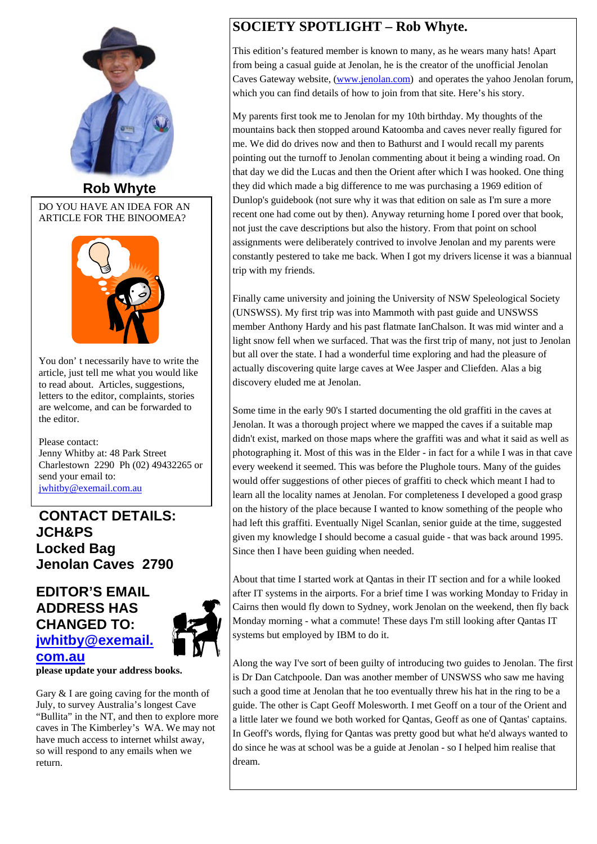

DO YOU HAVE AN IDEA FOR AN



 letters to the editor, complaints, stories are welcome, and can be forwarded to article, just tell me what you would like to read about. Articles, suggestions, the editor.

Please contact: Charlestown 2290 Ph (02) 49432265 or send your email to: [jwhitby@exemail.com.au](mailto:jwhitby@exemail.com.au)

#### **CONTACT DETAILS: JCH&PS Locked Bag Jenolan Caves 2790**

# **EDITOR'S EMAIL ADDRESS HAS [CHANGED TO: jwhitby@exemail.](mailto:jwhitby@exemail.com.au) [com.au](mailto:jwhitby@exemail.com.au)**



**please update your address books.** 

Gary & I are going caving for the month of July, to survey Australia's longest Cave "Bullita" in the NT, and then to explore more caves in The Kimberley's WA. We may not have much access to internet whilst away, so will respond to any emails when we return.

#### **SOCIETY SPOTLIGHT – Rob Whyte.**

This edition's featured member is known to many, as he wears many hats! Apart from being a casual guide at Jenolan, he is the creator of the unofficial Jenolan Caves Gateway website, [\(www.jenolan.com](http://www.jenolan.com/)) and operates the yahoo Jenolan forum, which you can find details of how to join from that site. Here's his story.

My parents first took me to Jenolan for my 10th birthday. My thoughts of the mountains back then stopped around Katoomba and caves never really figured for me. We did do drives now and then to Bathurst and I would recall my parents pointing out the turnoff to Jenolan commenting about it being a winding road. On that day we did the Lucas and then the Orient after which I was hooked. One thing **Rob Whyte** they did which made a big difference to me was purchasing a 1969 edition of Dunlop's guidebook (not sure why it was that edition on sale as I'm sure a more ARTICLE FOR THE BINOOMEA? Frecent one had come out by then). Anyway returning home I pored over that book, not just the cave descriptions but also the history. From that point on school assignments were deliberately contrived to involve Jenolan and my parents were constantly pestered to take me back. When I got my drivers license it was a biannual trip with my friends.

Finally came university and joining the University of NSW Speleological Society (UNSWSS). My first trip was into Mammoth with past guide and UNSWSS member Anthony Hardy and his past flatmate IanChalson. It was mid winter and a light snow fell when we surfaced. That was the first trip of many, not just to Jenolan You don't necessarily have to write the  $\left| \right|$  but all over the state. I had a wonderful time exploring and had the pleasure of actually discovering quite large caves at Wee Jasper and Cliefden. Alas a big discovery eluded me at Jenolan.

Some time in the early 90's I started documenting the old graffiti in the caves at Jenolan. It was a thorough project where we mapped the caves if a suitable map didn't exist, marked on those maps where the graffiti was and what it said as well as Jenny Whitby at: 48 Park Street photographing it. Most of this was in the Elder - in fact for a while I was in that cave every weekend it seemed. This was before the Plughole tours. Many of the guides would offer suggestions of other pieces of graffiti to check which meant I had to learn all the locality names at Jenolan. For completeness I developed a good grasp on the history of the place because I wanted to know something of the people who had left this graffiti. Eventually Nigel Scanlan, senior guide at the time, suggested given my knowledge I should become a casual guide - that was back around 1995. Since then I have been guiding when needed.

> About that time I started work at Qantas in their IT section and for a while looked after IT systems in the airports. For a brief time I was working Monday to Friday in Cairns then would fly down to Sydney, work Jenolan on the weekend, then fly back Monday morning - what a commute! These days I'm still looking after Qantas IT systems but employed by IBM to do it.

> Along the way I've sort of been guilty of introducing two guides to Jenolan. The first is Dr Dan Catchpoole. Dan was another member of UNSWSS who saw me having such a good time at Jenolan that he too eventually threw his hat in the ring to be a guide. The other is Capt Geoff Molesworth. I met Geoff on a tour of the Orient and a little later we found we both worked for Qantas, Geoff as one of Qantas' captains. In Geoff's words, flying for Qantas was pretty good but what he'd always wanted to do since he was at school was be a guide at Jenolan - so I helped him realise that dream.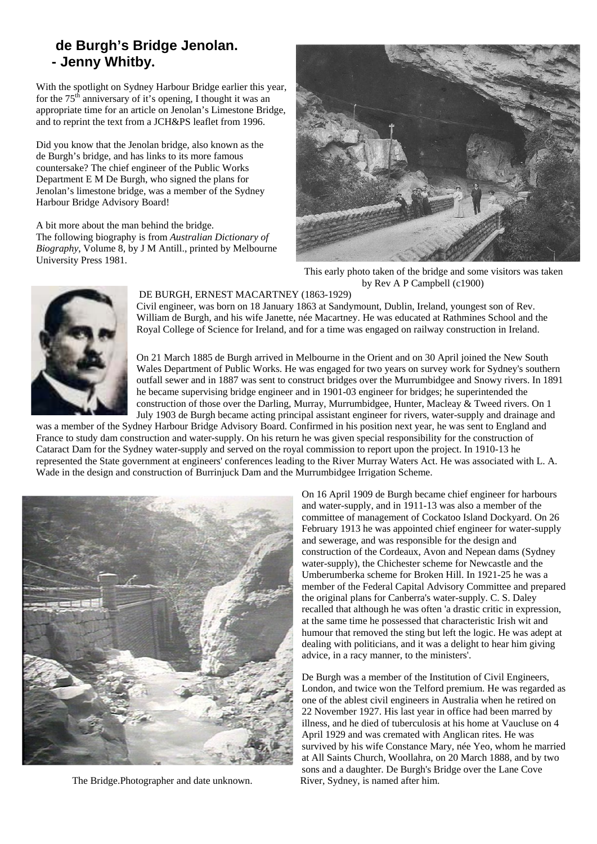#### **de Burgh's Bridge Jenolan. - Jenny Whitby.**

With the spotlight on Sydney Harbour Bridge earlier this year, for the  $75<sup>th</sup>$  anniversary of it's opening, I thought it was an appropriate time for an article on Jenolan's Limestone Bridge, and to reprint the text from a JCH&PS leaflet from 1996.

Did you know that the Jenolan bridge, also known as the de Burgh's bridge, and has links to its more famous countersake? The chief engineer of the Public Works Department E M De Burgh, who signed the plans for Jenolan's limestone bridge, was a member of the Sydney Harbour Bridge Advisory Board!

A bit more about the man behind the bridge. The following biography is from *Australian Dictionary of Biography*, Volume 8, by J M Antill., printed by Melbourne University Press 1981.



 This early photo taken of the bridge and some visitors was taken by Rev A P Campbell (c1900)



#### DE BURGH, ERNEST MACARTNEY (1863-1929)

Civil engineer, was born on 18 January 1863 at Sandymount, Dublin, Ireland, youngest son of Rev. William de Burgh, and his wife Janette, née Macartney. He was educated at Rathmines School and the Royal College of Science for Ireland, and for a time was engaged on railway construction in Ireland.

On 21 March 1885 de Burgh arrived in Melbourne in the Orient and on 30 April joined the New South Wales Department of Public Works. He was engaged for two years on survey work for Sydney's southern outfall sewer and in 1887 was sent to construct bridges over the Murrumbidgee and Snowy rivers. In 1891 he became supervising bridge engineer and in 1901-03 engineer for bridges; he superintended the construction of those over the Darling, Murray, Murrumbidgee, Hunter, Macleay & Tweed rivers. On 1 July 1903 de Burgh became acting principal assistant engineer for rivers, water-supply and drainage and

was a member of the Sydney Harbour Bridge Advisory Board. Confirmed in his position next year, he was sent to England and France to study dam construction and water-supply. On his return he was given special responsibility for the construction of Cataract Dam for the Sydney water-supply and served on the royal commission to report upon the project. In 1910-13 he represented the State government at engineers' conferences leading to the River Murray Waters Act. He was associated with L. A. Wade in the design and construction of Burrinjuck Dam and the Murrumbidgee Irrigation Scheme.



The Bridge.Photographer and date unknown. River, Sydney, is named after him.

On 16 April 1909 de Burgh became chief engineer for harbours and water-supply, and in 1911-13 was also a member of the committee of management of Cockatoo Island Dockyard. On 26 February 1913 he was appointed chief engineer for water-supply and sewerage, and was responsible for the design and construction of the Cordeaux, Avon and Nepean dams (Sydney water-supply), the Chichester scheme for Newcastle and the Umberumberka scheme for Broken Hill. In 1921-25 he was a member of the Federal Capital Advisory Committee and prepared the original plans for Canberra's water-supply. [C. S. Daley](http://www.adb.online.anu.edu.au/biogs/A080213b.htm) recalled that although he was often 'a drastic critic in expression, at the same time he possessed that characteristic Irish wit and humour that removed the sting but left the logic. He was adept at dealing with politicians, and it was a delight to hear him giving advice, in a racy manner, to the ministers'.

De Burgh was a member of the Institution of Civil Engineers, London, and twice won the Telford premium. He was regarded as one of the ablest civil engineers in Australia when he retired on 22 November 1927. His last year in office had been marred by illness, and he died of tuberculosis at his home at Vaucluse on 4 April 1929 and was cremated with Anglican rites. He was survived by his wife Constance Mary, née Yeo, whom he married at All Saints Church, Woollahra, on 20 March 1888, and by two sons and a daughter. De Burgh's Bridge over the Lane Cove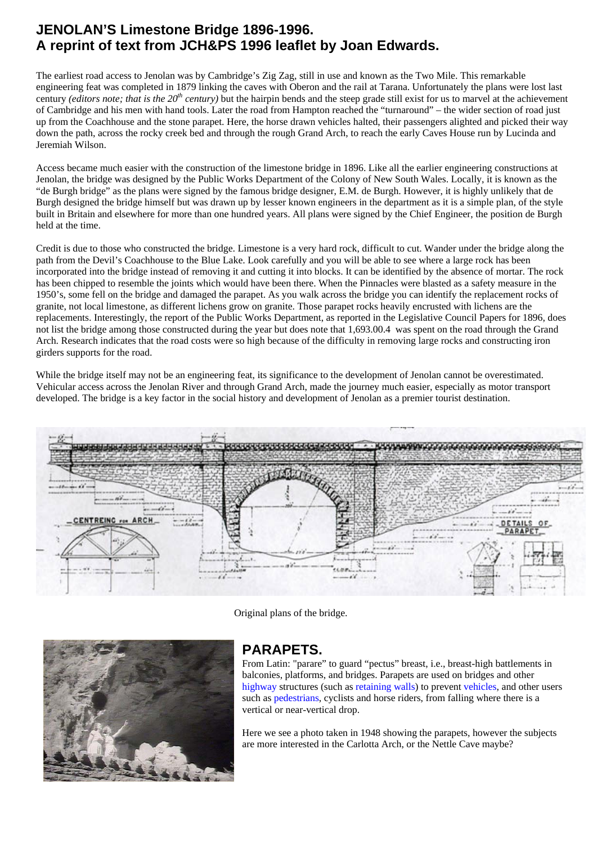### **JENOLAN'S Limestone Bridge 1896-1996. A reprint of text from JCH&PS 1996 leaflet by Joan Edwards.**

The earliest road access to Jenolan was by Cambridge's Zig Zag, still in use and known as the Two Mile. This remarkable engineering feat was completed in 1879 linking the caves with Oberon and the rail at Tarana. Unfortunately the plans were lost last century *(editors note; that is the 20<sup>th</sup> century*) but the hairpin bends and the steep grade still exist for us to marvel at the achievement of Cambridge and his men with hand tools. Later the road from Hampton reached the "turnaround" – the wider section of road just up from the Coachhouse and the stone parapet. Here, the horse drawn vehicles halted, their passengers alighted and picked their way down the path, across the rocky creek bed and through the rough Grand Arch, to reach the early Caves House run by Lucinda and Jeremiah Wilson.

Access became much easier with the construction of the limestone bridge in 1896. Like all the earlier engineering constructions at Jenolan, the bridge was designed by the Public Works Department of the Colony of New South Wales. Locally, it is known as the "de Burgh bridge" as the plans were signed by the famous bridge designer, E.M. de Burgh. However, it is highly unlikely that de Burgh designed the bridge himself but was drawn up by lesser known engineers in the department as it is a simple plan, of the style built in Britain and elsewhere for more than one hundred years. All plans were signed by the Chief Engineer, the position de Burgh held at the time.

Credit is due to those who constructed the bridge. Limestone is a very hard rock, difficult to cut. Wander under the bridge along the path from the Devil's Coachhouse to the Blue Lake. Look carefully and you will be able to see where a large rock has been incorporated into the bridge instead of removing it and cutting it into blocks. It can be identified by the absence of mortar. The rock has been chipped to resemble the joints which would have been there. When the Pinnacles were blasted as a safety measure in the 1950's, some fell on the bridge and damaged the parapet. As you walk across the bridge you can identify the replacement rocks of granite, not local limestone, as different lichens grow on granite. Those parapet rocks heavily encrusted with lichens are the replacements. Interestingly, the report of the Public Works Department, as reported in the Legislative Council Papers for 1896, does not list the bridge among those constructed during the year but does note that 1,693.00.4 was spent on the road through the Grand Arch. Research indicates that the road costs were so high because of the difficulty in removing large rocks and constructing iron girders supports for the road.

While the bridge itself may not be an engineering feat, its significance to the development of Jenolan cannot be overestimated. Vehicular access across the Jenolan River and through Grand Arch, made the journey much easier, especially as motor transport developed. The bridge is a key factor in the social history and development of Jenolan as a premier tourist destination.



Original plans of the bridge.



# **PARAPETS.**

From Latin: "parare" to guard "pectus" breast, i.e., breast-high battlements in balconies, platforms, and bridges. Parapets are used on bridges and other [highway](http://en.wikipedia.org/wiki/Highway) structures (such as [retaining walls](http://en.wikipedia.org/wiki/Retaining_wall)) to prevent [vehicles](http://en.wikipedia.org/wiki/Vehicle), and other users such as [pedestrians](http://en.wikipedia.org/wiki/Pedestrian), cyclists and horse riders, from falling where there is a vertical or near-vertical drop.

Here we see a photo taken in 1948 showing the parapets, however the subjects are more interested in the Carlotta Arch, or the Nettle Cave maybe?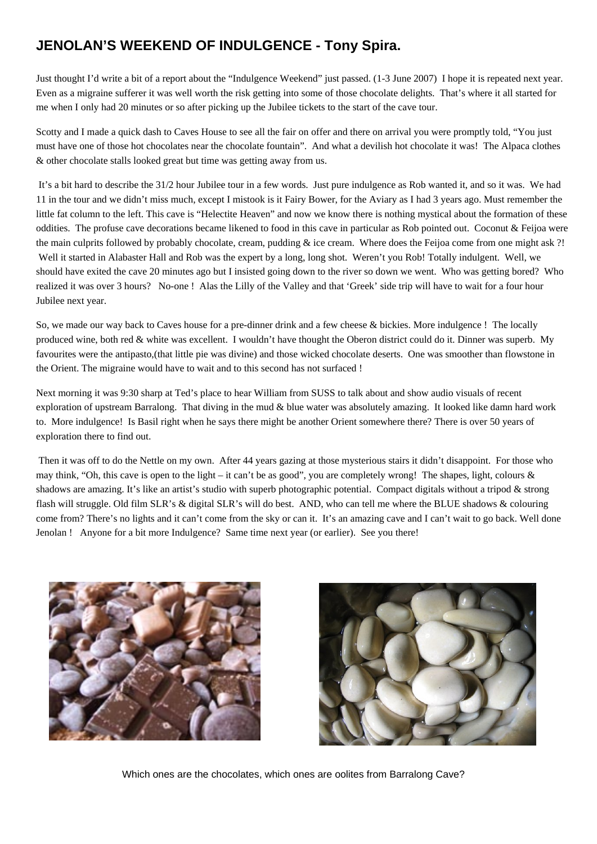# **JENOLAN'S WEEKEND OF INDULGENCE - Tony Spira.**

Just thought I'd write a bit of a report about the "Indulgence Weekend" just passed. (1-3 June 2007) I hope it is repeated next year. Even as a migraine sufferer it was well worth the risk getting into some of those chocolate delights. That's where it all started for me when I only had 20 minutes or so after picking up the Jubilee tickets to the start of the cave tour.

Scotty and I made a quick dash to Caves House to see all the fair on offer and there on arrival you were promptly told, "You just must have one of those hot chocolates near the chocolate fountain". And what a devilish hot chocolate it was! The Alpaca clothes & other chocolate stalls looked great but time was getting away from us.

 It's a bit hard to describe the 31/2 hour Jubilee tour in a few words. Just pure indulgence as Rob wanted it, and so it was. We had 11 in the tour and we didn't miss much, except I mistook is it Fairy Bower, for the Aviary as I had 3 years ago. Must remember the little fat column to the left. This cave is "Helectite Heaven" and now we know there is nothing mystical about the formation of these oddities. The profuse cave decorations became likened to food in this cave in particular as Rob pointed out. Coconut & Feijoa were the main culprits followed by probably chocolate, cream, pudding  $\&$  ice cream. Where does the Feijoa come from one might ask ?! Well it started in Alabaster Hall and Rob was the expert by a long, long shot. Weren't you Rob! Totally indulgent. Well, we should have exited the cave 20 minutes ago but I insisted going down to the river so down we went. Who was getting bored? Who realized it was over 3 hours? No-one ! Alas the Lilly of the Valley and that 'Greek' side trip will have to wait for a four hour Jubilee next year.

So, we made our way back to Caves house for a pre-dinner drink and a few cheese & bickies. More indulgence ! The locally produced wine, both red & white was excellent. I wouldn't have thought the Oberon district could do it. Dinner was superb. My favourites were the antipasto,(that little pie was divine) and those wicked chocolate deserts. One was smoother than flowstone in the Orient. The migraine would have to wait and to this second has not surfaced !

Next morning it was 9:30 sharp at Ted's place to hear William from SUSS to talk about and show audio visuals of recent exploration of upstream Barralong. That diving in the mud & blue water was absolutely amazing. It looked like damn hard work to. More indulgence! Is Basil right when he says there might be another Orient somewhere there? There is over 50 years of exploration there to find out.

 Then it was off to do the Nettle on my own. After 44 years gazing at those mysterious stairs it didn't disappoint. For those who may think, "Oh, this cave is open to the light – it can't be as good", you are completely wrong! The shapes, light, colours  $\&$ shadows are amazing. It's like an artist's studio with superb photographic potential. Compact digitals without a tripod & strong flash will struggle. Old film SLR's & digital SLR's will do best. AND, who can tell me where the BLUE shadows & colouring come from? There's no lights and it can't come from the sky or can it. It's an amazing cave and I can't wait to go back. Well done Jenolan ! Anyone for a bit more Indulgence? Same time next year (or earlier). See you there!





Which ones are the chocolates, which ones are oolites from Barralong Cave?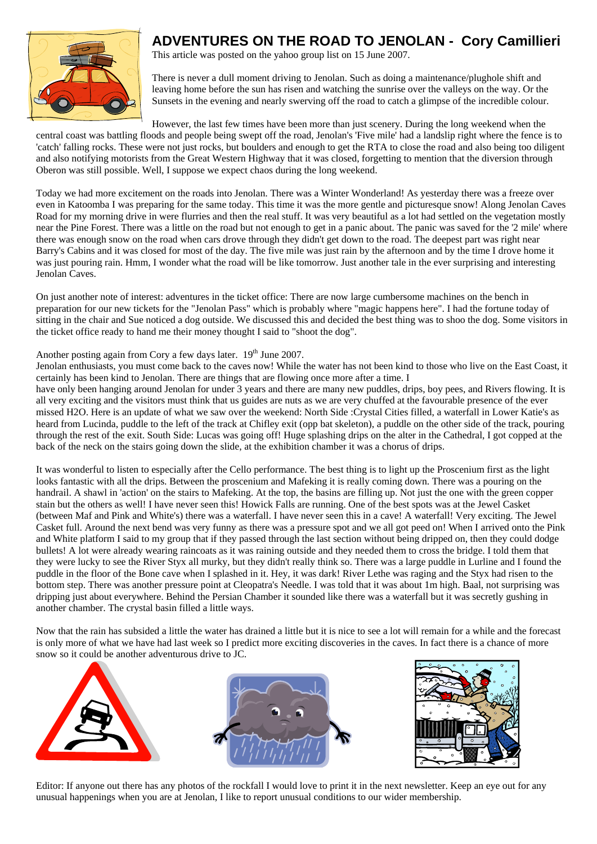

# **ADVENTURES ON THE ROAD TO JENOLAN - Cory Camillieri**

This article was posted on the yahoo group list on 15 June 2007.

There is never a dull moment driving to Jenolan. Such as doing a maintenance/plughole shift and leaving home before the sun has risen and watching the sunrise over the valleys on the way. Or the Sunsets in the evening and nearly swerving off the road to catch a glimpse of the incredible colour.

However, the last few times have been more than just scenery. During the long weekend when the central coast was battling floods and people being swept off the road, Jenolan's 'Five mile' had a landslip right where the fence is to 'catch' falling rocks. These were not just rocks, but boulders and enough to get the RTA to close the road and also being too diligent and also notifying motorists from the Great Western Highway that it was closed, forgetting to mention that the diversion through Oberon was still possible. Well, I suppose we expect chaos during the long weekend.

Today we had more excitement on the roads into Jenolan. There was a Winter Wonderland! As yesterday there was a freeze over even in Katoomba I was preparing for the same today. This time it was the more gentle and picturesque snow! Along Jenolan Caves Road for my morning drive in were flurries and then the real stuff. It was very beautiful as a lot had settled on the vegetation mostly near the Pine Forest. There was a little on the road but not enough to get in a panic about. The panic was saved for the '2 mile' where there was enough snow on the road when cars drove through they didn't get down to the road. The deepest part was right near Barry's Cabins and it was closed for most of the day. The five mile was just rain by the afternoon and by the time I drove home it was just pouring rain. Hmm, I wonder what the road will be like tomorrow. Just another tale in the ever surprising and interesting Jenolan Caves.

On just another note of interest: adventures in the ticket office: There are now large cumbersome machines on the bench in preparation for our new tickets for the "Jenolan Pass" which is probably where "magic happens here". I had the fortune today of sitting in the chair and Sue noticed a dog outside. We discussed this and decided the best thing was to shoo the dog. Some visitors in the ticket office ready to hand me their money thought I said to "shoot the dog".

#### Another posting again from Cory a few days later.  $19<sup>th</sup>$  June 2007.

Jenolan enthusiasts, you must come back to the caves now! While the water has not been kind to those who live on the East Coast, it certainly has been kind to Jenolan. There are things that are flowing once more after a time. I

have only been hanging around Jenolan for under 3 years and there are many new puddles, drips, boy pees, and Rivers flowing. It is all very exciting and the visitors must think that us guides are nuts as we are very chuffed at the favourable presence of the ever missed H2O. Here is an update of what we saw over the weekend: North Side :Crystal Cities filled, a waterfall in Lower Katie's as heard from Lucinda, puddle to the left of the track at Chifley exit (opp bat skeleton), a puddle on the other side of the track, pouring through the rest of the exit. South Side: Lucas was going off! Huge splashing drips on the alter in the Cathedral, I got copped at the back of the neck on the stairs going down the slide, at the exhibition chamber it was a chorus of drips.

It was wonderful to listen to especially after the Cello performance. The best thing is to light up the Proscenium first as the light looks fantastic with all the drips. Between the proscenium and Mafeking it is really coming down. There was a pouring on the handrail. A shawl in 'action' on the stairs to Mafeking. At the top, the basins are filling up. Not just the one with the green copper stain but the others as well! I have never seen this! Howick Falls are running. One of the best spots was at the Jewel Casket (between Maf and Pink and White's) there was a waterfall. I have never seen this in a cave! A waterfall! Very exciting. The Jewel Casket full. Around the next bend was very funny as there was a pressure spot and we all got peed on! When I arrived onto the Pink and White platform I said to my group that if they passed through the last section without being dripped on, then they could dodge bullets! A lot were already wearing raincoats as it was raining outside and they needed them to cross the bridge. I told them that they were lucky to see the River Styx all murky, but they didn't really think so. There was a large puddle in Lurline and I found the puddle in the floor of the Bone cave when I splashed in it. Hey, it was dark! River Lethe was raging and the Styx had risen to the bottom step. There was another pressure point at Cleopatra's Needle. I was told that it was about 1m high. Baal, not surprising was dripping just about everywhere. Behind the Persian Chamber it sounded like there was a waterfall but it was secretly gushing in another chamber. The crystal basin filled a little ways.

Now that the rain has subsided a little the water has drained a little but it is nice to see a lot will remain for a while and the forecast is only more of what we have had last week so I predict more exciting discoveries in the caves. In fact there is a chance of more snow so it could be another adventurous drive to JC.



Editor: If anyone out there has any photos of the rockfall I would love to print it in the next newsletter. Keep an eye out for any unusual happenings when you are at Jenolan, I like to report unusual conditions to our wider membership.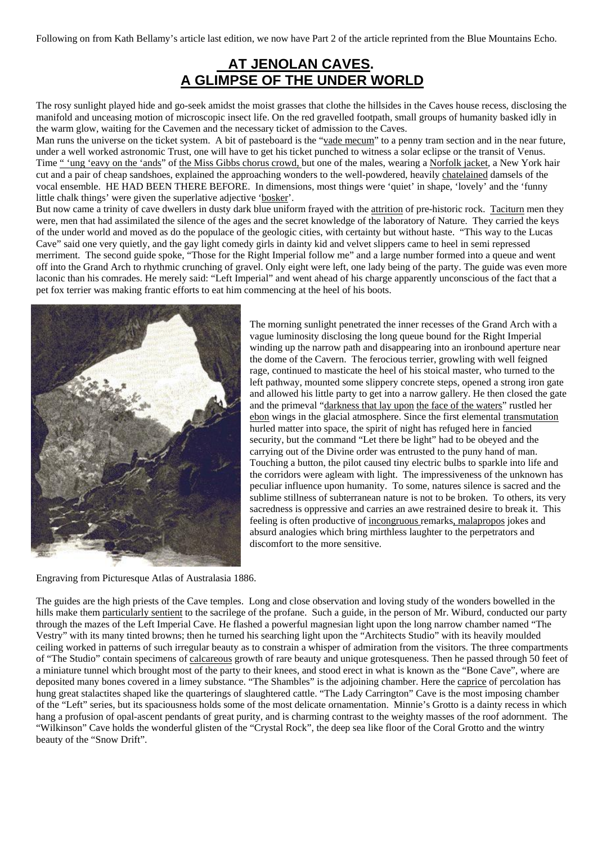Following on from Kath Bellamy's article last edition, we now have Part 2 of the article reprinted from the Blue Mountains Echo.

#### **AT JENOLAN CAVES. A GLIMPSE OF THE UNDER WORLD**

The rosy sunlight played hide and go-seek amidst the moist grasses that clothe the hillsides in the Caves house recess, disclosing the manifold and unceasing motion of microscopic insect life. On the red gravelled footpath, small groups of humanity basked idly in the warm glow, waiting for the Cavemen and the necessary ticket of admission to the Caves.

Man runs the universe on the ticket system. A bit of pasteboard is the "vade mecum" to a penny tram section and in the near future, under a well worked astronomic Trust, one will have to get his ticket punched to witness a solar eclipse or the transit of Venus. Time " 'ung 'eavy on the 'ands' of the Miss Gibbs chorus crowd, but one of the males, wearing a Norfolk jacket, a New York hair cut and a pair of cheap sandshoes, explained the approaching wonders to the well-powdered, heavily chatelained damsels of the vocal ensemble. HE HAD BEEN THERE BEFORE. In dimensions, most things were 'quiet' in shape, 'lovely' and the 'funny little chalk things' were given the superlative adjective 'bosker'.

But now came a trinity of cave dwellers in dusty dark blue uniform frayed with the attrition of pre-historic rock. Taciturn men they were, men that had assimilated the silence of the ages and the secret knowledge of the laboratory of Nature. They carried the keys of the under world and moved as do the populace of the geologic cities, with certainty but without haste. "This way to the Lucas Cave" said one very quietly, and the gay light comedy girls in dainty kid and velvet slippers came to heel in semi repressed merriment. The second guide spoke, "Those for the Right Imperial follow me" and a large number formed into a queue and went off into the Grand Arch to rhythmic crunching of gravel. Only eight were left, one lady being of the party. The guide was even more laconic than his comrades. He merely said: "Left Imperial" and went ahead of his charge apparently unconscious of the fact that a pet fox terrier was making frantic efforts to eat him commencing at the heel of his boots.



The morning sunlight penetrated the inner recesses of the Grand Arch with a vague luminosity disclosing the long queue bound for the Right Imperial winding up the narrow path and disappearing into an ironbound aperture near the dome of the Cavern. The ferocious terrier, growling with well feigned rage, continued to masticate the heel of his stoical master, who turned to the left pathway, mounted some slippery concrete steps, opened a strong iron gate and allowed his little party to get into a narrow gallery. He then closed the gate and the primeval "darkness that lay upon the face of the waters" rustled her ebon wings in the glacial atmosphere. Since the first elemental transmutation hurled matter into space, the spirit of night has refuged here in fancied security, but the command "Let there be light" had to be obeyed and the carrying out of the Divine order was entrusted to the puny hand of man. Touching a button, the pilot caused tiny electric bulbs to sparkle into life and the corridors were agleam with light. The impressiveness of the unknown has peculiar influence upon humanity. To some, natures silence is sacred and the sublime stillness of subterranean nature is not to be broken. To others, its very sacredness is oppressive and carries an awe restrained desire to break it. This feeling is often productive of incongruous remarks, malapropos jokes and absurd analogies which bring mirthless laughter to the perpetrators and discomfort to the more sensitive.

Engraving from Picturesque Atlas of Australasia 1886.

The guides are the high priests of the Cave temples. Long and close observation and loving study of the wonders bowelled in the hills make them particularly sentient to the sacrilege of the profane. Such a guide, in the person of Mr. Wiburd, conducted our party through the mazes of the Left Imperial Cave. He flashed a powerful magnesian light upon the long narrow chamber named "The Vestry" with its many tinted browns; then he turned his searching light upon the "Architects Studio" with its heavily moulded ceiling worked in patterns of such irregular beauty as to constrain a whisper of admiration from the visitors. The three compartments of "The Studio" contain specimens of calcareous growth of rare beauty and unique grotesqueness. Then he passed through 50 feet of a miniature tunnel which brought most of the party to their knees, and stood erect in what is known as the "Bone Cave", where are deposited many bones covered in a limey substance. "The Shambles" is the adjoining chamber. Here the caprice of percolation has hung great stalactites shaped like the quarterings of slaughtered cattle. "The Lady Carrington" Cave is the most imposing chamber of the "Left" series, but its spaciousness holds some of the most delicate ornamentation. Minnie's Grotto is a dainty recess in which hang a profusion of opal-ascent pendants of great purity, and is charming contrast to the weighty masses of the roof adornment. The "Wilkinson" Cave holds the wonderful glisten of the "Crystal Rock", the deep sea like floor of the Coral Grotto and the wintry beauty of the "Snow Drift".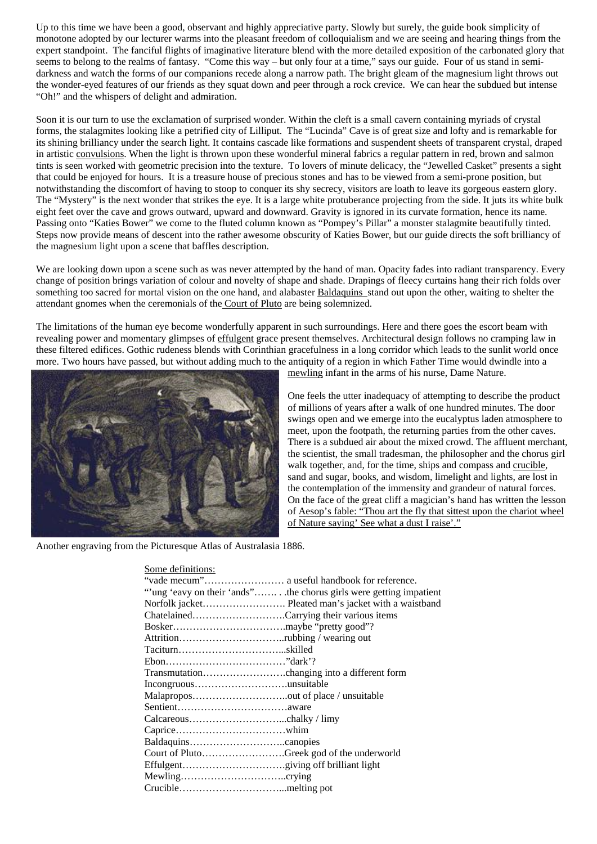Up to this time we have been a good, observant and highly appreciative party. Slowly but surely, the guide book simplicity of monotone adopted by our lecturer warms into the pleasant freedom of colloquialism and we are seeing and hearing things from the expert standpoint. The fanciful flights of imaginative literature blend with the more detailed exposition of the carbonated glory that seems to belong to the realms of fantasy. "Come this way – but only four at a time," says our guide. Four of us stand in semidarkness and watch the forms of our companions recede along a narrow path. The bright gleam of the magnesium light throws out the wonder-eyed features of our friends as they squat down and peer through a rock crevice. We can hear the subdued but intense "Oh!" and the whispers of delight and admiration.

Soon it is our turn to use the exclamation of surprised wonder. Within the cleft is a small cavern containing myriads of crystal forms, the stalagmites looking like a petrified city of Lilliput. The "Lucinda" Cave is of great size and lofty and is remarkable for its shining brilliancy under the search light. It contains cascade like formations and suspendent sheets of transparent crystal, draped in artistic convulsions. When the light is thrown upon these wonderful mineral fabrics a regular pattern in red, brown and salmon tints is seen worked with geometric precision into the texture. To lovers of minute delicacy, the "Jewelled Casket" presents a sight that could be enjoyed for hours. It is a treasure house of precious stones and has to be viewed from a semi-prone position, but notwithstanding the discomfort of having to stoop to conquer its shy secrecy, visitors are loath to leave its gorgeous eastern glory. The "Mystery" is the next wonder that strikes the eye. It is a large white protuberance projecting from the side. It juts its white bulk eight feet over the cave and grows outward, upward and downward. Gravity is ignored in its curvate formation, hence its name. Passing onto "Katies Bower" we come to the fluted column known as "Pompey's Pillar" a monster stalagmite beautifully tinted. Steps now provide means of descent into the rather awesome obscurity of Katies Bower, but our guide directs the soft brilliancy of the magnesium light upon a scene that baffles description.

We are looking down upon a scene such as was never attempted by the hand of man. Opacity fades into radiant transparency. Every change of position brings variation of colour and novelty of shape and shade. Drapings of fleecy curtains hang their rich folds over something too sacred for mortal vision on the one hand, and alabaster Baldaquins stand out upon the other, waiting to shelter the attendant gnomes when the ceremonials of the Court of Pluto are being solemnized.

The limitations of the human eye become wonderfully apparent in such surroundings. Here and there goes the escort beam with revealing power and momentary glimpses of effulgent grace present themselves. Architectural design follows no cramping law in these filtered edifices. Gothic rudeness blends with Corinthian gracefulness in a long corridor which leads to the sunlit world once more. Two hours have passed, but without adding much to the antiquity of a region in which Father Time would dwindle into a



Another engraving from the Picturesque Atlas of Australasia 1886.

|                       | "'ung 'eavy on their 'ands"the chorus girls were getting impatient |
|-----------------------|--------------------------------------------------------------------|
|                       |                                                                    |
|                       | ChatelainedCarrying their various items                            |
|                       |                                                                    |
|                       |                                                                    |
|                       |                                                                    |
|                       |                                                                    |
|                       |                                                                    |
| Incongruousunsuitable |                                                                    |
|                       |                                                                    |
|                       |                                                                    |
|                       |                                                                    |
|                       |                                                                    |
|                       |                                                                    |
|                       | Court of PlutoGreek god of the underworld                          |
|                       |                                                                    |
|                       |                                                                    |
|                       |                                                                    |

Some definitions:

mewling infant in the arms of his nurse, Dame Nature.

One feels the utter inadequacy of attempting to describe the product of millions of years after a walk of one hundred minutes. The door swings open and we emerge into the eucalyptus laden atmosphere to meet, upon the footpath, the returning parties from the other caves. There is a subdued air about the mixed crowd. The affluent merchant, the scientist, the small tradesman, the philosopher and the chorus girl walk together, and, for the time, ships and compass and crucible, sand and sugar, books, and wisdom, limelight and lights, are lost in the contemplation of the immensity and grandeur of natural forces. On the face of the great cliff a magician's hand has written the lesson of Aesop's fable: "Thou art the fly that sittest upon the chariot wheel of Nature saying' See what a dust I raise'."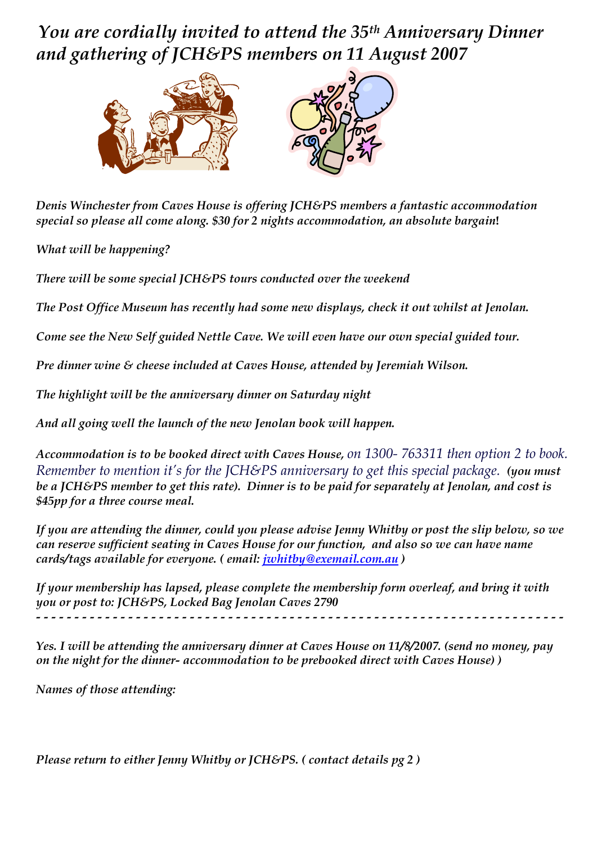*You are cordially invited to attend the 35th Anniversary Dinner and gathering of JCH&PS members on 11 August 2007* 



*Denis Winchester from Caves House is offering JCH&PS members a fantastic accommodation special so please all come along. \$30 for 2 nights accommodation, an absolute bargain***!** 

*What will be happening?* 

*There will be some special JCH&PS tours conducted over the weekend* 

*The Post Office Museum has recently had some new displays, check it out whilst at Jenolan.* 

*Come see the New Self guided Nettle Cave. We will even have our own special guided tour.* 

*Pre dinner wine & cheese included at Caves House, attended by Jeremiah Wilson.* 

*The highlight will be the anniversary dinner on Saturday night* 

*And all going well the launch of the new Jenolan book will happen.* 

*Accommodation is to be booked direct with Caves House, on 1300- 763311 then option 2 to book. Remember to mention it's for the ICH&PS anniversary to get this special package. (you must be a JCH&PS member to get this rate). Dinner is to be paid for separately at Jenolan, and cost is \$45pp for a three course meal.* 

*If you are attending the dinner, could you please advise Jenny Whitby or post the slip below, so we can reserve sufficient seating in Caves House for our function, and also so we can have name cards/tags available for everyone. ( email: [jwhitby@exemail.com.au](mailto:jwhitby@exemail.com.au) )* 

*If your membership has lapsed, please complete the membership form overleaf, and bring it with you or post to: JCH&PS, Locked Bag Jenolan Caves 2790 - - - - - - - - - - - - - - - - - - - - - - - - - - - - - - - - - - - - - - - - - - - - - - - - - - - - - - - - - - - - - - - - - - - - -* 

*Yes. I will be attending the anniversary dinner at Caves House on 11/8/2007. (send no money, pay on the night for the dinner- accommodation to be prebooked direct with Caves House) )* 

*Names of those attending:* 

*Please return to either Jenny Whitby or JCH&PS. ( contact details pg 2 )*